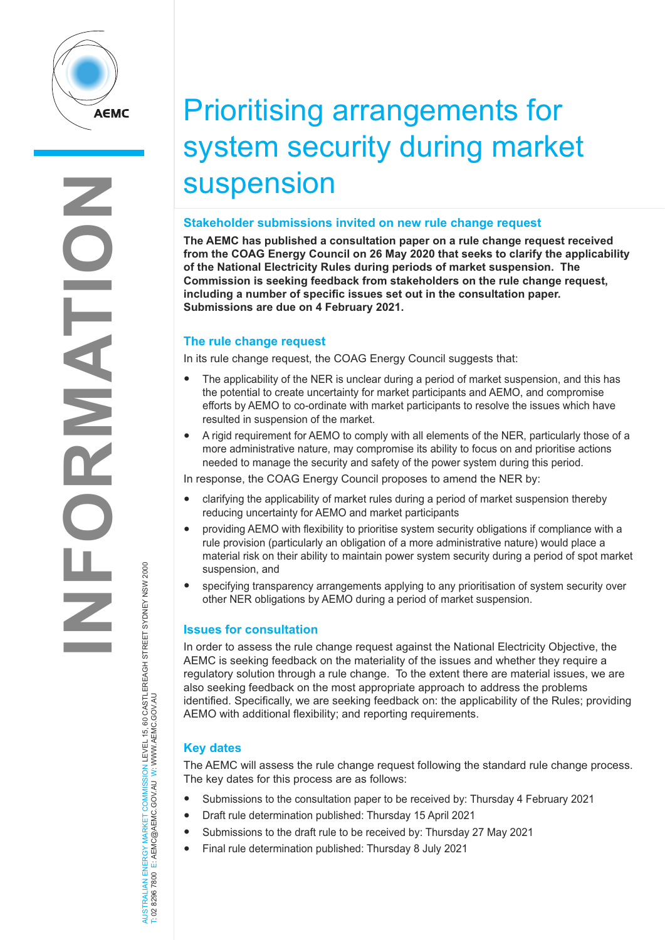

# Prioritising arrangements for system security during market suspension

#### **Stakeholder submissions invited on new rule change request**

**The AEMC has published a consultation paper on a rule change request received from the COAG Energy Council on 26 May 2020 that seeks to clarify the applicability of the National Electricity Rules during periods of market suspension. The Commission is seeking feedback from stakeholders on the rule change request, including a number of specific issues set out in the consultation paper. Submissions are due on 4 February 2021.**

## **The rule change request**

In its rule change request, the COAG Energy Council suggests that:

- The applicability of the NER is unclear during a period of market suspension, and this has the potential to create uncertainty for market participants and AEMO, and compromise efforts by AEMO to co-ordinate with market participants to resolve the issues which have resulted in suspension of the market.
- A rigid requirement for AEMO to comply with all elements of the NER, particularly those of a more administrative nature, may compromise its ability to focus on and prioritise actions needed to manage the security and safety of the power system during this period.

In response, the COAG Energy Council proposes to amend the NER by:

- clarifying the applicability of market rules during a period of market suspension thereby reducing uncertainty for AEMO and market participants
- providing AEMO with flexibility to prioritise system security obligations if compliance with a rule provision (particularly an obligation of a more administrative nature) would place a material risk on their ability to maintain power system security during a period of spot market suspension, and
- specifying transparency arrangements applying to any prioritisation of system security over other NER obligations by AEMO during a period of market suspension.

## **Issues for consultation**

In order to assess the rule change request against the National Electricity Objective, the AEMC is seeking feedback on the materiality of the issues and whether they require a regulatory solution through a rule change. To the extent there are material issues, we are also seeking feedback on the most appropriate approach to address the problems identified. Specifically, we are seeking feedback on: the applicability of the Rules; providing AEMO with additional flexibility; and reporting requirements.

## **Key dates**

AUSTRALIAN ENERGY MARKET COMMISSION LEVEL 15, 60 CASTLEREAGH STREET SYDNEY NSW 2000

NERGY MARKET COMMISSION LEVEL 15, 60 CASTLEREAGH STREET SYDNEY NSW 2000<br>E: AEMC@AEMC.GOV.AU W: WWW.AEMC.GOV.AU

T: 02 8296 7800 E: AEMC@AEMC.GOV.AU W: WWW.AEMC.GOV.AU

AUSTRALIAN ENERGY MARKET<br>T: 02 8296 7800 E: AEMC@AEMC

The AEMC will assess the rule change request following the standard rule change process. The key dates for this process are as follows:

- Submissions to the consultation paper to be received by: Thursday 4 February 2021
- Draft rule determination published: Thursday 15 April 2021
- Submissions to the draft rule to be received by: Thursday 27 May 2021
- Final rule determination published: Thursday 8 July 2021